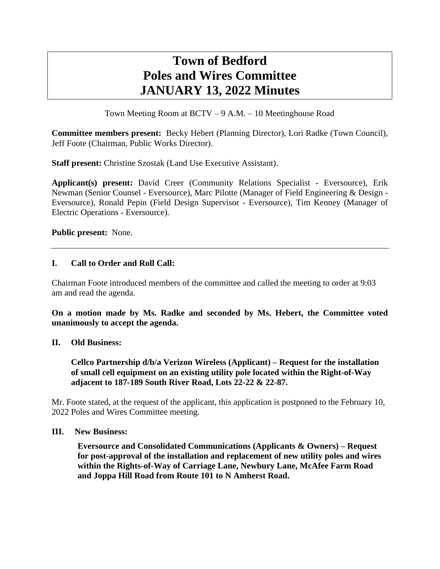# **Town of Bedford Poles and Wires Committee JANUARY 13, 2022 Minutes**

Town Meeting Room at BCTV – 9 A.M. – 10 Meetinghouse Road

**Committee members present:** Becky Hebert (Planning Director), Lori Radke (Town Council), Jeff Foote (Chairman, Public Works Director).

**Staff present:** Christine Szostak (Land Use Executive Assistant).

**Applicant(s) present:** David Creer (Community Relations Specialist - Eversource), Erik Newman (Senior Counsel - Eversource), Marc Pilotte (Manager of Field Engineering & Design - Eversource), Ronald Pepin (Field Design Supervisor - Eversource), Tim Kenney (Manager of Electric Operations - Eversource).

**Public present:** None.

### **I. Call to Order and Roll Call:**

Chairman Foote introduced members of the committee and called the meeting to order at 9:03 am and read the agenda.

**On a motion made by Ms. Radke and seconded by Ms. Hebert, the Committee voted unanimously to accept the agenda.**

#### **II. Old Business:**

**Cellco Partnership d/b/a Verizon Wireless (Applicant) – Request for the installation of small cell equipment on an existing utility pole located within the Right-of-Way adjacent to 187-189 South River Road, Lots 22-22 & 22-87.**

Mr. Foote stated, at the request of the applicant, this application is postponed to the February 10, 2022 Poles and Wires Committee meeting.

#### **III. New Business:**

**Eversource and Consolidated Communications (Applicants & Owners) – Request for post-approval of the installation and replacement of new utility poles and wires within the Rights-of-Way of Carriage Lane, Newbury Lane, McAfee Farm Road and Joppa Hill Road from Route 101 to N Amherst Road.**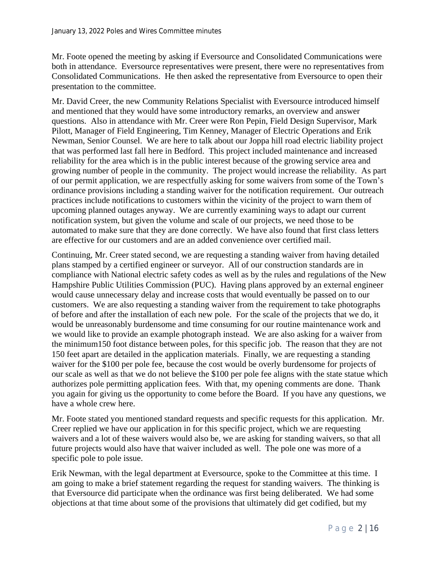Mr. Foote opened the meeting by asking if Eversource and Consolidated Communications were both in attendance. Eversource representatives were present, there were no representatives from Consolidated Communications. He then asked the representative from Eversource to open their presentation to the committee.

Mr. David Creer, the new Community Relations Specialist with Eversource introduced himself and mentioned that they would have some introductory remarks, an overview and answer questions. Also in attendance with Mr. Creer were Ron Pepin, Field Design Supervisor, Mark Pilott, Manager of Field Engineering, Tim Kenney, Manager of Electric Operations and Erik Newman, Senior Counsel. We are here to talk about our Joppa hill road electric liability project that was performed last fall here in Bedford. This project included maintenance and increased reliability for the area which is in the public interest because of the growing service area and growing number of people in the community. The project would increase the reliability. As part of our permit application, we are respectfully asking for some waivers from some of the Town's ordinance provisions including a standing waiver for the notification requirement. Our outreach practices include notifications to customers within the vicinity of the project to warn them of upcoming planned outages anyway. We are currently examining ways to adapt our current notification system, but given the volume and scale of our projects, we need those to be automated to make sure that they are done correctly. We have also found that first class letters are effective for our customers and are an added convenience over certified mail.

Continuing, Mr. Creer stated second, we are requesting a standing waiver from having detailed plans stamped by a certified engineer or surveyor. All of our construction standards are in compliance with National electric safety codes as well as by the rules and regulations of the New Hampshire Public Utilities Commission (PUC). Having plans approved by an external engineer would cause unnecessary delay and increase costs that would eventually be passed on to our customers. We are also requesting a standing waiver from the requirement to take photographs of before and after the installation of each new pole. For the scale of the projects that we do, it would be unreasonably burdensome and time consuming for our routine maintenance work and we would like to provide an example photograph instead. We are also asking for a waiver from the minimum150 foot distance between poles, for this specific job. The reason that they are not 150 feet apart are detailed in the application materials. Finally, we are requesting a standing waiver for the \$100 per pole fee, because the cost would be overly burdensome for projects of our scale as well as that we do not believe the \$100 per pole fee aligns with the state statue which authorizes pole permitting application fees. With that, my opening comments are done. Thank you again for giving us the opportunity to come before the Board. If you have any questions, we have a whole crew here.

Mr. Foote stated you mentioned standard requests and specific requests for this application. Mr. Creer replied we have our application in for this specific project, which we are requesting waivers and a lot of these waivers would also be, we are asking for standing waivers, so that all future projects would also have that waiver included as well. The pole one was more of a specific pole to pole issue.

Erik Newman, with the legal department at Eversource, spoke to the Committee at this time. I am going to make a brief statement regarding the request for standing waivers. The thinking is that Eversource did participate when the ordinance was first being deliberated. We had some objections at that time about some of the provisions that ultimately did get codified, but my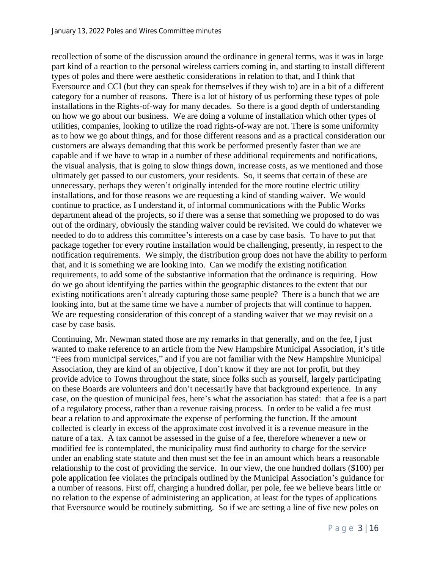recollection of some of the discussion around the ordinance in general terms, was it was in large part kind of a reaction to the personal wireless carriers coming in, and starting to install different types of poles and there were aesthetic considerations in relation to that, and I think that Eversource and CCI (but they can speak for themselves if they wish to) are in a bit of a different category for a number of reasons. There is a lot of history of us performing these types of pole installations in the Rights-of-way for many decades. So there is a good depth of understanding on how we go about our business. We are doing a volume of installation which other types of utilities, companies, looking to utilize the road rights-of-way are not. There is some uniformity as to how we go about things, and for those different reasons and as a practical consideration our customers are always demanding that this work be performed presently faster than we are capable and if we have to wrap in a number of these additional requirements and notifications, the visual analysis, that is going to slow things down, increase costs, as we mentioned and those ultimately get passed to our customers, your residents. So, it seems that certain of these are unnecessary, perhaps they weren't originally intended for the more routine electric utility installations, and for those reasons we are requesting a kind of standing waiver. We would continue to practice, as I understand it, of informal communications with the Public Works department ahead of the projects, so if there was a sense that something we proposed to do was out of the ordinary, obviously the standing waiver could be revisited. We could do whatever we needed to do to address this committee's interests on a case by case basis. To have to put that package together for every routine installation would be challenging, presently, in respect to the notification requirements. We simply, the distribution group does not have the ability to perform that, and it is something we are looking into. Can we modify the existing notification requirements, to add some of the substantive information that the ordinance is requiring. How do we go about identifying the parties within the geographic distances to the extent that our existing notifications aren't already capturing those same people? There is a bunch that we are looking into, but at the same time we have a number of projects that will continue to happen. We are requesting consideration of this concept of a standing waiver that we may revisit on a case by case basis.

Continuing, Mr. Newman stated those are my remarks in that generally, and on the fee, I just wanted to make reference to an article from the New Hampshire Municipal Association, it's title "Fees from municipal services," and if you are not familiar with the New Hampshire Municipal Association, they are kind of an objective, I don't know if they are not for profit, but they provide advice to Towns throughout the state, since folks such as yourself, largely participating on these Boards are volunteers and don't necessarily have that background experience. In any case, on the question of municipal fees, here's what the association has stated: that a fee is a part of a regulatory process, rather than a revenue raising process. In order to be valid a fee must bear a relation to and approximate the expense of performing the function. If the amount collected is clearly in excess of the approximate cost involved it is a revenue measure in the nature of a tax. A tax cannot be assessed in the guise of a fee, therefore whenever a new or modified fee is contemplated, the municipality must find authority to charge for the service under an enabling state statute and then must set the fee in an amount which bears a reasonable relationship to the cost of providing the service. In our view, the one hundred dollars (\$100) per pole application fee violates the principals outlined by the Municipal Association's guidance for a number of reasons. First off, charging a hundred dollar, per pole, fee we believe bears little or no relation to the expense of administering an application, at least for the types of applications that Eversource would be routinely submitting. So if we are setting a line of five new poles on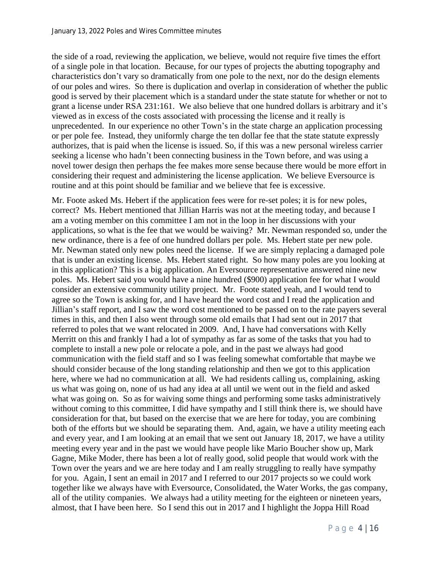the side of a road, reviewing the application, we believe, would not require five times the effort of a single pole in that location. Because, for our types of projects the abutting topography and characteristics don't vary so dramatically from one pole to the next, nor do the design elements of our poles and wires. So there is duplication and overlap in consideration of whether the public good is served by their placement which is a standard under the state statute for whether or not to grant a license under RSA 231:161. We also believe that one hundred dollars is arbitrary and it's viewed as in excess of the costs associated with processing the license and it really is unprecedented. In our experience no other Town's in the state charge an application processing or per pole fee. Instead, they uniformly charge the ten dollar fee that the state statute expressly authorizes, that is paid when the license is issued. So, if this was a new personal wireless carrier seeking a license who hadn't been connecting business in the Town before, and was using a novel tower design then perhaps the fee makes more sense because there would be more effort in considering their request and administering the license application. We believe Eversource is routine and at this point should be familiar and we believe that fee is excessive.

Mr. Foote asked Ms. Hebert if the application fees were for re-set poles; it is for new poles, correct? Ms. Hebert mentioned that Jillian Harris was not at the meeting today, and because I am a voting member on this committee I am not in the loop in her discussions with your applications, so what is the fee that we would be waiving? Mr. Newman responded so, under the new ordinance, there is a fee of one hundred dollars per pole. Ms. Hebert state per new pole. Mr. Newman stated only new poles need the license. If we are simply replacing a damaged pole that is under an existing license. Ms. Hebert stated right. So how many poles are you looking at in this application? This is a big application. An Eversource representative answered nine new poles. Ms. Hebert said you would have a nine hundred (\$900) application fee for what I would consider an extensive community utility project. Mr. Foote stated yeah, and I would tend to agree so the Town is asking for, and I have heard the word cost and I read the application and Jillian's staff report, and I saw the word cost mentioned to be passed on to the rate payers several times in this, and then I also went through some old emails that I had sent out in 2017 that referred to poles that we want relocated in 2009. And, I have had conversations with Kelly Merritt on this and frankly I had a lot of sympathy as far as some of the tasks that you had to complete to install a new pole or relocate a pole, and in the past we always had good communication with the field staff and so I was feeling somewhat comfortable that maybe we should consider because of the long standing relationship and then we got to this application here, where we had no communication at all. We had residents calling us, complaining, asking us what was going on, none of us had any idea at all until we went out in the field and asked what was going on. So as for waiving some things and performing some tasks administratively without coming to this committee, I did have sympathy and I still think there is, we should have consideration for that, but based on the exercise that we are here for today, you are combining both of the efforts but we should be separating them. And, again, we have a utility meeting each and every year, and I am looking at an email that we sent out January 18, 2017, we have a utility meeting every year and in the past we would have people like Mario Boucher show up, Mark Gagne, Mike Moder, there has been a lot of really good, solid people that would work with the Town over the years and we are here today and I am really struggling to really have sympathy for you. Again, I sent an email in 2017 and I referred to our 2017 projects so we could work together like we always have with Eversource, Consolidated, the Water Works, the gas company, all of the utility companies. We always had a utility meeting for the eighteen or nineteen years, almost, that I have been here. So I send this out in 2017 and I highlight the Joppa Hill Road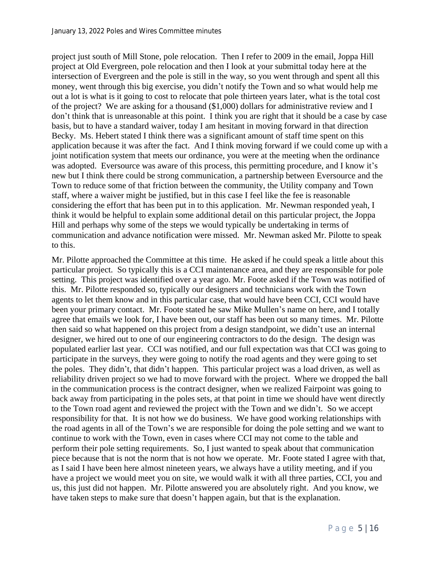project just south of Mill Stone, pole relocation. Then I refer to 2009 in the email, Joppa Hill project at Old Evergreen, pole relocation and then I look at your submittal today here at the intersection of Evergreen and the pole is still in the way, so you went through and spent all this money, went through this big exercise, you didn't notify the Town and so what would help me out a lot is what is it going to cost to relocate that pole thirteen years later, what is the total cost of the project? We are asking for a thousand (\$1,000) dollars for administrative review and I don't think that is unreasonable at this point. I think you are right that it should be a case by case basis, but to have a standard waiver, today I am hesitant in moving forward in that direction Becky. Ms. Hebert stated I think there was a significant amount of staff time spent on this application because it was after the fact. And I think moving forward if we could come up with a joint notification system that meets our ordinance, you were at the meeting when the ordinance was adopted. Eversource was aware of this process, this permitting procedure, and I know it's new but I think there could be strong communication, a partnership between Eversource and the Town to reduce some of that friction between the community, the Utility company and Town staff, where a waiver might be justified, but in this case I feel like the fee is reasonable considering the effort that has been put in to this application. Mr. Newman responded yeah, I think it would be helpful to explain some additional detail on this particular project, the Joppa Hill and perhaps why some of the steps we would typically be undertaking in terms of communication and advance notification were missed. Mr. Newman asked Mr. Pilotte to speak to this.

Mr. Pilotte approached the Committee at this time. He asked if he could speak a little about this particular project. So typically this is a CCI maintenance area, and they are responsible for pole setting. This project was identified over a year ago. Mr. Foote asked if the Town was notified of this. Mr. Pilotte responded so, typically our designers and technicians work with the Town agents to let them know and in this particular case, that would have been CCI, CCI would have been your primary contact. Mr. Foote stated he saw Mike Mullen's name on here, and I totally agree that emails we look for, I have been out, our staff has been out so many times. Mr. Pilotte then said so what happened on this project from a design standpoint, we didn't use an internal designer, we hired out to one of our engineering contractors to do the design. The design was populated earlier last year. CCI was notified, and our full expectation was that CCI was going to participate in the surveys, they were going to notify the road agents and they were going to set the poles. They didn't, that didn't happen. This particular project was a load driven, as well as reliability driven project so we had to move forward with the project. Where we dropped the ball in the communication process is the contract designer, when we realized Fairpoint was going to back away from participating in the poles sets, at that point in time we should have went directly to the Town road agent and reviewed the project with the Town and we didn't. So we accept responsibility for that. It is not how we do business. We have good working relationships with the road agents in all of the Town's we are responsible for doing the pole setting and we want to continue to work with the Town, even in cases where CCI may not come to the table and perform their pole setting requirements. So, I just wanted to speak about that communication piece because that is not the norm that is not how we operate. Mr. Foote stated I agree with that, as I said I have been here almost nineteen years, we always have a utility meeting, and if you have a project we would meet you on site, we would walk it with all three parties, CCI, you and us, this just did not happen. Mr. Pilotte answered you are absolutely right. And you know, we have taken steps to make sure that doesn't happen again, but that is the explanation.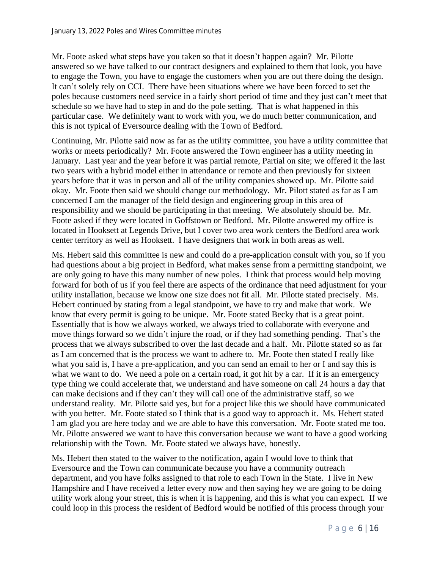Mr. Foote asked what steps have you taken so that it doesn't happen again? Mr. Pilotte answered so we have talked to our contract designers and explained to them that look, you have to engage the Town, you have to engage the customers when you are out there doing the design. It can't solely rely on CCI. There have been situations where we have been forced to set the poles because customers need service in a fairly short period of time and they just can't meet that schedule so we have had to step in and do the pole setting. That is what happened in this particular case. We definitely want to work with you, we do much better communication, and this is not typical of Eversource dealing with the Town of Bedford.

Continuing, Mr. Pilotte said now as far as the utility committee, you have a utility committee that works or meets periodically? Mr. Foote answered the Town engineer has a utility meeting in January. Last year and the year before it was partial remote, Partial on site; we offered it the last two years with a hybrid model either in attendance or remote and then previously for sixteen years before that it was in person and all of the utility companies showed up. Mr. Pilotte said okay. Mr. Foote then said we should change our methodology. Mr. Pilott stated as far as I am concerned I am the manager of the field design and engineering group in this area of responsibility and we should be participating in that meeting. We absolutely should be. Mr. Foote asked if they were located in Goffstown or Bedford. Mr. Pilotte answered my office is located in Hooksett at Legends Drive, but I cover two area work centers the Bedford area work center territory as well as Hooksett. I have designers that work in both areas as well.

Ms. Hebert said this committee is new and could do a pre-application consult with you, so if you had questions about a big project in Bedford, what makes sense from a permitting standpoint, we are only going to have this many number of new poles. I think that process would help moving forward for both of us if you feel there are aspects of the ordinance that need adjustment for your utility installation, because we know one size does not fit all. Mr. Pilotte stated precisely. Ms. Hebert continued by stating from a legal standpoint, we have to try and make that work. We know that every permit is going to be unique. Mr. Foote stated Becky that is a great point. Essentially that is how we always worked, we always tried to collaborate with everyone and move things forward so we didn't injure the road, or if they had something pending. That's the process that we always subscribed to over the last decade and a half. Mr. Pilotte stated so as far as I am concerned that is the process we want to adhere to. Mr. Foote then stated I really like what you said is, I have a pre-application, and you can send an email to her or I and say this is what we want to do. We need a pole on a certain road, it got hit by a car. If it is an emergency type thing we could accelerate that, we understand and have someone on call 24 hours a day that can make decisions and if they can't they will call one of the administrative staff, so we understand reality. Mr. Pilotte said yes, but for a project like this we should have communicated with you better. Mr. Foote stated so I think that is a good way to approach it. Ms. Hebert stated I am glad you are here today and we are able to have this conversation. Mr. Foote stated me too. Mr. Pilotte answered we want to have this conversation because we want to have a good working relationship with the Town. Mr. Foote stated we always have, honestly.

Ms. Hebert then stated to the waiver to the notification, again I would love to think that Eversource and the Town can communicate because you have a community outreach department, and you have folks assigned to that role to each Town in the State. I live in New Hampshire and I have received a letter every now and then saying hey we are going to be doing utility work along your street, this is when it is happening, and this is what you can expect. If we could loop in this process the resident of Bedford would be notified of this process through your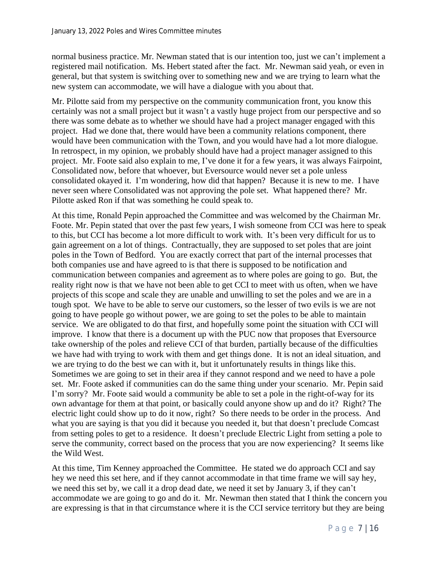normal business practice. Mr. Newman stated that is our intention too, just we can't implement a registered mail notification. Ms. Hebert stated after the fact. Mr. Newman said yeah, or even in general, but that system is switching over to something new and we are trying to learn what the new system can accommodate, we will have a dialogue with you about that.

Mr. Pilotte said from my perspective on the community communication front, you know this certainly was not a small project but it wasn't a vastly huge project from our perspective and so there was some debate as to whether we should have had a project manager engaged with this project. Had we done that, there would have been a community relations component, there would have been communication with the Town, and you would have had a lot more dialogue. In retrospect, in my opinion, we probably should have had a project manager assigned to this project. Mr. Foote said also explain to me, I've done it for a few years, it was always Fairpoint, Consolidated now, before that whoever, but Eversource would never set a pole unless consolidated okayed it. I'm wondering, how did that happen? Because it is new to me. I have never seen where Consolidated was not approving the pole set. What happened there? Mr. Pilotte asked Ron if that was something he could speak to.

At this time, Ronald Pepin approached the Committee and was welcomed by the Chairman Mr. Foote. Mr. Pepin stated that over the past few years, I wish someone from CCI was here to speak to this, but CCI has become a lot more difficult to work with. It's been very difficult for us to gain agreement on a lot of things. Contractually, they are supposed to set poles that are joint poles in the Town of Bedford. You are exactly correct that part of the internal processes that both companies use and have agreed to is that there is supposed to be notification and communication between companies and agreement as to where poles are going to go. But, the reality right now is that we have not been able to get CCI to meet with us often, when we have projects of this scope and scale they are unable and unwilling to set the poles and we are in a tough spot. We have to be able to serve our customers, so the lesser of two evils is we are not going to have people go without power, we are going to set the poles to be able to maintain service. We are obligated to do that first, and hopefully some point the situation with CCI will improve. I know that there is a document up with the PUC now that proposes that Eversource take ownership of the poles and relieve CCI of that burden, partially because of the difficulties we have had with trying to work with them and get things done. It is not an ideal situation, and we are trying to do the best we can with it, but it unfortunately results in things like this. Sometimes we are going to set in their area if they cannot respond and we need to have a pole set. Mr. Foote asked if communities can do the same thing under your scenario. Mr. Pepin said I'm sorry? Mr. Foote said would a community be able to set a pole in the right-of-way for its own advantage for them at that point, or basically could anyone show up and do it? Right? The electric light could show up to do it now, right? So there needs to be order in the process. And what you are saying is that you did it because you needed it, but that doesn't preclude Comcast from setting poles to get to a residence. It doesn't preclude Electric Light from setting a pole to serve the community, correct based on the process that you are now experiencing? It seems like the Wild West.

At this time, Tim Kenney approached the Committee. He stated we do approach CCI and say hey we need this set here, and if they cannot accommodate in that time frame we will say hey, we need this set by, we call it a drop dead date, we need it set by January 3, if they can't accommodate we are going to go and do it. Mr. Newman then stated that I think the concern you are expressing is that in that circumstance where it is the CCI service territory but they are being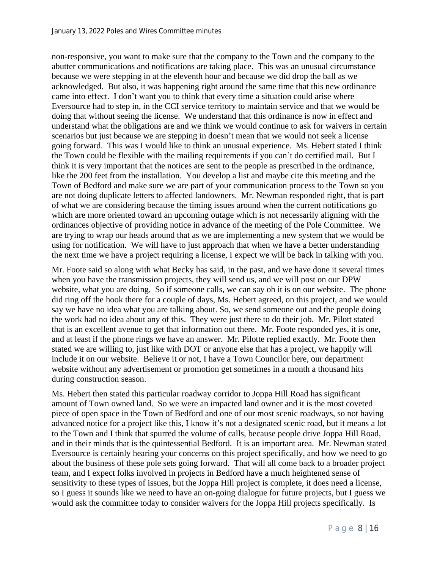non-responsive, you want to make sure that the company to the Town and the company to the abutter communications and notifications are taking place. This was an unusual circumstance because we were stepping in at the eleventh hour and because we did drop the ball as we acknowledged. But also, it was happening right around the same time that this new ordinance came into effect. I don't want you to think that every time a situation could arise where Eversource had to step in, in the CCI service territory to maintain service and that we would be doing that without seeing the license. We understand that this ordinance is now in effect and understand what the obligations are and we think we would continue to ask for waivers in certain scenarios but just because we are stepping in doesn't mean that we would not seek a license going forward. This was I would like to think an unusual experience. Ms. Hebert stated I think the Town could be flexible with the mailing requirements if you can't do certified mail. But I think it is very important that the notices are sent to the people as prescribed in the ordinance, like the 200 feet from the installation. You develop a list and maybe cite this meeting and the Town of Bedford and make sure we are part of your communication process to the Town so you are not doing duplicate letters to affected landowners. Mr. Newman responded right, that is part of what we are considering because the timing issues around when the current notifications go which are more oriented toward an upcoming outage which is not necessarily aligning with the ordinances objective of providing notice in advance of the meeting of the Pole Committee. We are trying to wrap our heads around that as we are implementing a new system that we would be using for notification. We will have to just approach that when we have a better understanding the next time we have a project requiring a license, I expect we will be back in talking with you.

Mr. Foote said so along with what Becky has said, in the past, and we have done it several times when you have the transmission projects, they will send us, and we will post on our DPW website, what you are doing. So if someone calls, we can say oh it is on our website. The phone did ring off the hook there for a couple of days, Ms. Hebert agreed, on this project, and we would say we have no idea what you are talking about. So, we send someone out and the people doing the work had no idea about any of this. They were just there to do their job. Mr. Pilott stated that is an excellent avenue to get that information out there. Mr. Foote responded yes, it is one, and at least if the phone rings we have an answer. Mr. Pilotte replied exactly. Mr. Foote then stated we are willing to, just like with DOT or anyone else that has a project, we happily will include it on our website. Believe it or not, I have a Town Councilor here, our department website without any advertisement or promotion get sometimes in a month a thousand hits during construction season.

Ms. Hebert then stated this particular roadway corridor to Joppa Hill Road has significant amount of Town owned land. So we were an impacted land owner and it is the most coveted piece of open space in the Town of Bedford and one of our most scenic roadways, so not having advanced notice for a project like this, I know it's not a designated scenic road, but it means a lot to the Town and I think that spurred the volume of calls, because people drive Joppa Hill Road, and in their minds that is the quintessential Bedford. It is an important area. Mr. Newman stated Eversource is certainly hearing your concerns on this project specifically, and how we need to go about the business of these pole sets going forward. That will all come back to a broader project team, and I expect folks involved in projects in Bedford have a much heightened sense of sensitivity to these types of issues, but the Joppa Hill project is complete, it does need a license, so I guess it sounds like we need to have an on-going dialogue for future projects, but I guess we would ask the committee today to consider waivers for the Joppa Hill projects specifically. Is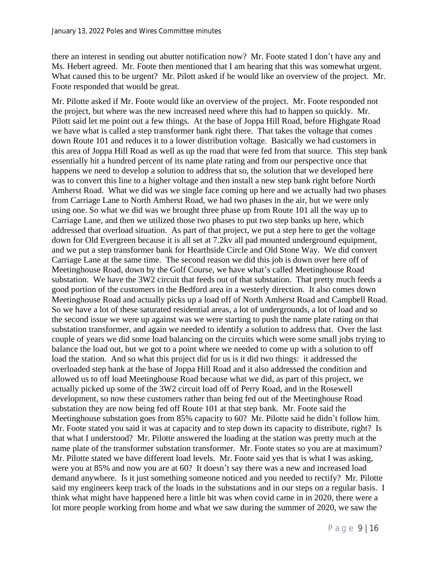there an interest in sending out abutter notification now? Mr. Foote stated I don't have any and Ms. Hebert agreed. Mr. Foote then mentioned that I am hearing that this was somewhat urgent. What caused this to be urgent? Mr. Pilott asked if he would like an overview of the project. Mr. Foote responded that would be great.

Mr. Pilotte asked if Mr. Foote would like an overview of the project. Mr. Foote responded not the project, but where was the new increased need where this had to happen so quickly. Mr. Pilott said let me point out a few things. At the base of Joppa Hill Road, before Highgate Road we have what is called a step transformer bank right there. That takes the voltage that comes down Route 101 and reduces it to a lower distribution voltage. Basically we had customers in this area of Joppa Hill Road as well as up the road that were fed from that source. This step bank essentially hit a hundred percent of its name plate rating and from our perspective once that happens we need to develop a solution to address that so, the solution that we developed here was to convert this line to a higher voltage and then install a new step bank right before North Amherst Road. What we did was we single face coming up here and we actually had two phases from Carriage Lane to North Amherst Road, we had two phases in the air, but we were only using one. So what we did was we brought three phase up from Route 101 all the way up to Carriage Lane, and then we utilized those two phases to put two step banks up here, which addressed that overload situation. As part of that project, we put a step here to get the voltage down for Old Evergreen because it is all set at 7.2kv all pad mounted underground equipment, and we put a step transformer bank for Hearthside Circle and Old Stone Way. We did convert Carriage Lane at the same time. The second reason we did this job is down over here off of Meetinghouse Road, down by the Golf Course, we have what's called Meetinghouse Road substation. We have the 3W2 circuit that feeds out of that substation. That pretty much feeds a good portion of the customers in the Bedford area in a westerly direction. It also comes down Meetinghouse Road and actually picks up a load off of North Amherst Road and Campbell Road. So we have a lot of these saturated residential areas, a lot of undergrounds, a lot of load and so the second issue we were up against was we were starting to push the name plate rating on that substation transformer, and again we needed to identify a solution to address that. Over the last couple of years we did some load balancing on the circuits which were some small jobs trying to balance the load out, but we got to a point where we needed to come up with a solution to off load the station. And so what this project did for us is it did two things: it addressed the overloaded step bank at the base of Joppa Hill Road and it also addressed the condition and allowed us to off load Meetinghouse Road because what we did, as part of this project, we actually picked up some of the 3W2 circuit load off of Perry Road, and in the Rosewell development, so now these customers rather than being fed out of the Meetinghouse Road substation they are now being fed off Route 101 at that step bank. Mr. Foote said the Meetinghouse substation goes from 85% capacity to 60? Mr. Pilotte said he didn't follow him. Mr. Foote stated you said it was at capacity and to step down its capacity to distribute, right? Is that what I understood? Mr. Pilotte answered the loading at the station was pretty much at the name plate of the transformer substation transformer. Mr. Foote states so you are at maximum? Mr. Pilotte stated we have different load levels. Mr. Foote said yes that is what I was asking, were you at 85% and now you are at 60? It doesn't say there was a new and increased load demand anywhere. Is it just something someone noticed and you needed to rectify? Mr. Pilotte said my engineers keep track of the loads in the substations and in our steps on a regular basis. I think what might have happened here a little bit was when covid came in in 2020, there were a lot more people working from home and what we saw during the summer of 2020, we saw the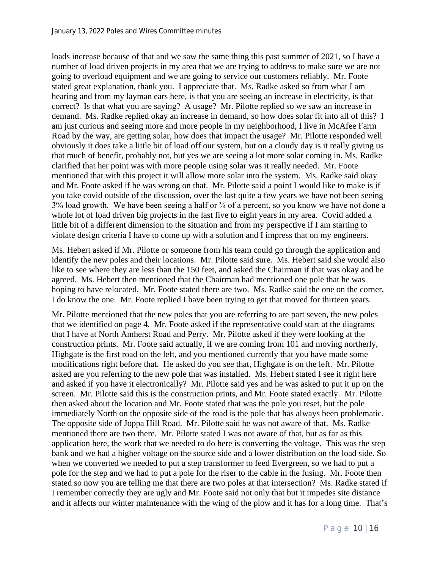loads increase because of that and we saw the same thing this past summer of 2021, so I have a number of load driven projects in my area that we are trying to address to make sure we are not going to overload equipment and we are going to service our customers reliably. Mr. Foote stated great explanation, thank you. I appreciate that. Ms. Radke asked so from what I am hearing and from my layman ears here, is that you are seeing an increase in electricity, is that correct? Is that what you are saying? A usage? Mr. Pilotte replied so we saw an increase in demand. Ms. Radke replied okay an increase in demand, so how does solar fit into all of this? I am just curious and seeing more and more people in my neighborhood, I live in McAfee Farm Road by the way, are getting solar, how does that impact the usage? Mr. Pilotte responded well obviously it does take a little bit of load off our system, but on a cloudy day is it really giving us that much of benefit, probably not, but yes we are seeing a lot more solar coming in. Ms. Radke clarified that her point was with more people using solar was it really needed. Mr. Foote mentioned that with this project it will allow more solar into the system. Ms. Radke said okay and Mr. Foote asked if he was wrong on that. Mr. Pilotte said a point I would like to make is if you take covid outside of the discussion, over the last quite a few years we have not been seeing  $3\%$  load growth. We have been seeing a half or  $\frac{3}{4}$  of a percent, so you know we have not done a whole lot of load driven big projects in the last five to eight years in my area. Covid added a little bit of a different dimension to the situation and from my perspective if I am starting to violate design criteria I have to come up with a solution and I impress that on my engineers.

Ms. Hebert asked if Mr. Pilotte or someone from his team could go through the application and identify the new poles and their locations. Mr. Pilotte said sure. Ms. Hebert said she would also like to see where they are less than the 150 feet, and asked the Chairman if that was okay and he agreed. Ms. Hebert then mentioned that the Chairman had mentioned one pole that he was hoping to have relocated. Mr. Foote stated there are two. Ms. Radke said the one on the corner, I do know the one. Mr. Foote replied I have been trying to get that moved for thirteen years.

Mr. Pilotte mentioned that the new poles that you are referring to are part seven, the new poles that we identified on page 4. Mr. Foote asked if the representative could start at the diagrams that I have at North Amherst Road and Perry. Mr. Pilotte asked if they were looking at the construction prints. Mr. Foote said actually, if we are coming from 101 and moving northerly, Highgate is the first road on the left, and you mentioned currently that you have made some modifications right before that. He asked do you see that, Highgate is on the left. Mr. Pilotte asked are you referring to the new pole that was installed. Ms. Hebert stated I see it right here and asked if you have it electronically? Mr. Pilotte said yes and he was asked to put it up on the screen. Mr. Pilotte said this is the construction prints, and Mr. Foote stated exactly. Mr. Pilotte then asked about the location and Mr. Foote stated that was the pole you reset, but the pole immediately North on the opposite side of the road is the pole that has always been problematic. The opposite side of Joppa Hill Road. Mr. Pilotte said he was not aware of that. Ms. Radke mentioned there are two there. Mr. Pilotte stated I was not aware of that, but as far as this application here, the work that we needed to do here is converting the voltage. This was the step bank and we had a higher voltage on the source side and a lower distribution on the load side. So when we converted we needed to put a step transformer to feed Evergreen, so we had to put a pole for the step and we had to put a pole for the riser to the cable in the fusing. Mr. Foote then stated so now you are telling me that there are two poles at that intersection? Ms. Radke stated if I remember correctly they are ugly and Mr. Foote said not only that but it impedes site distance and it affects our winter maintenance with the wing of the plow and it has for a long time. That's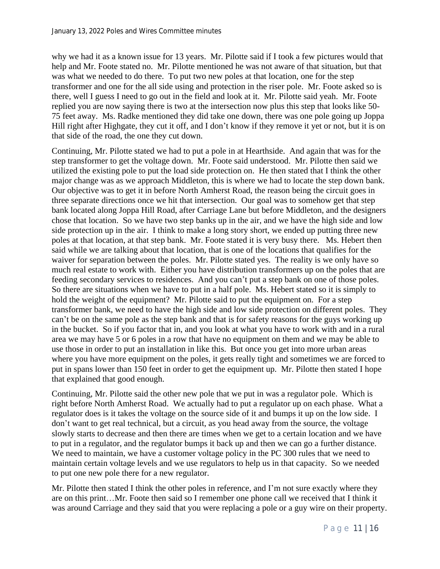why we had it as a known issue for 13 years. Mr. Pilotte said if I took a few pictures would that help and Mr. Foote stated no. Mr. Pilotte mentioned he was not aware of that situation, but that was what we needed to do there. To put two new poles at that location, one for the step transformer and one for the all side using and protection in the riser pole. Mr. Foote asked so is there, well I guess I need to go out in the field and look at it. Mr. Pilotte said yeah. Mr. Foote replied you are now saying there is two at the intersection now plus this step that looks like 50- 75 feet away. Ms. Radke mentioned they did take one down, there was one pole going up Joppa Hill right after Highgate, they cut it off, and I don't know if they remove it yet or not, but it is on that side of the road, the one they cut down.

Continuing, Mr. Pilotte stated we had to put a pole in at Hearthside. And again that was for the step transformer to get the voltage down. Mr. Foote said understood. Mr. Pilotte then said we utilized the existing pole to put the load side protection on. He then stated that I think the other major change was as we approach Middleton, this is where we had to locate the step down bank. Our objective was to get it in before North Amherst Road, the reason being the circuit goes in three separate directions once we hit that intersection. Our goal was to somehow get that step bank located along Joppa Hill Road, after Carriage Lane but before Middleton, and the designers chose that location. So we have two step banks up in the air, and we have the high side and low side protection up in the air. I think to make a long story short, we ended up putting three new poles at that location, at that step bank. Mr. Foote stated it is very busy there. Ms. Hebert then said while we are talking about that location, that is one of the locations that qualifies for the waiver for separation between the poles. Mr. Pilotte stated yes. The reality is we only have so much real estate to work with. Either you have distribution transformers up on the poles that are feeding secondary services to residences. And you can't put a step bank on one of those poles. So there are situations when we have to put in a half pole. Ms. Hebert stated so it is simply to hold the weight of the equipment? Mr. Pilotte said to put the equipment on. For a step transformer bank, we need to have the high side and low side protection on different poles. They can't be on the same pole as the step bank and that is for safety reasons for the guys working up in the bucket. So if you factor that in, and you look at what you have to work with and in a rural area we may have 5 or 6 poles in a row that have no equipment on them and we may be able to use those in order to put an installation in like this. But once you get into more urban areas where you have more equipment on the poles, it gets really tight and sometimes we are forced to put in spans lower than 150 feet in order to get the equipment up. Mr. Pilotte then stated I hope that explained that good enough.

Continuing, Mr. Pilotte said the other new pole that we put in was a regulator pole. Which is right before North Amherst Road. We actually had to put a regulator up on each phase. What a regulator does is it takes the voltage on the source side of it and bumps it up on the low side. I don't want to get real technical, but a circuit, as you head away from the source, the voltage slowly starts to decrease and then there are times when we get to a certain location and we have to put in a regulator, and the regulator bumps it back up and then we can go a further distance. We need to maintain, we have a customer voltage policy in the PC 300 rules that we need to maintain certain voltage levels and we use regulators to help us in that capacity. So we needed to put one new pole there for a new regulator.

Mr. Pilotte then stated I think the other poles in reference, and I'm not sure exactly where they are on this print…Mr. Foote then said so I remember one phone call we received that I think it was around Carriage and they said that you were replacing a pole or a guy wire on their property.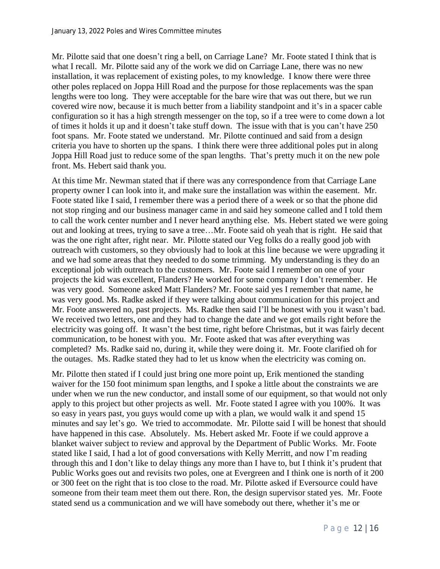Mr. Pilotte said that one doesn't ring a bell, on Carriage Lane? Mr. Foote stated I think that is what I recall. Mr. Pilotte said any of the work we did on Carriage Lane, there was no new installation, it was replacement of existing poles, to my knowledge. I know there were three other poles replaced on Joppa Hill Road and the purpose for those replacements was the span lengths were too long. They were acceptable for the bare wire that was out there, but we run covered wire now, because it is much better from a liability standpoint and it's in a spacer cable configuration so it has a high strength messenger on the top, so if a tree were to come down a lot of times it holds it up and it doesn't take stuff down. The issue with that is you can't have 250 foot spans. Mr. Foote stated we understand. Mr. Pilotte continued and said from a design criteria you have to shorten up the spans. I think there were three additional poles put in along Joppa Hill Road just to reduce some of the span lengths. That's pretty much it on the new pole front. Ms. Hebert said thank you.

At this time Mr. Newman stated that if there was any correspondence from that Carriage Lane property owner I can look into it, and make sure the installation was within the easement. Mr. Foote stated like I said, I remember there was a period there of a week or so that the phone did not stop ringing and our business manager came in and said hey someone called and I told them to call the work center number and I never heard anything else. Ms. Hebert stated we were going out and looking at trees, trying to save a tree…Mr. Foote said oh yeah that is right. He said that was the one right after, right near. Mr. Pilotte stated our Veg folks do a really good job with outreach with customers, so they obviously had to look at this line because we were upgrading it and we had some areas that they needed to do some trimming. My understanding is they do an exceptional job with outreach to the customers. Mr. Foote said I remember on one of your projects the kid was excellent, Flanders? He worked for some company I don't remember. He was very good. Someone asked Matt Flanders? Mr. Foote said yes I remember that name, he was very good. Ms. Radke asked if they were talking about communication for this project and Mr. Foote answered no, past projects. Ms. Radke then said I'll be honest with you it wasn't bad. We received two letters, one and they had to change the date and we got emails right before the electricity was going off. It wasn't the best time, right before Christmas, but it was fairly decent communication, to be honest with you. Mr. Foote asked that was after everything was completed? Ms. Radke said no, during it, while they were doing it. Mr. Foote clarified oh for the outages. Ms. Radke stated they had to let us know when the electricity was coming on.

Mr. Pilotte then stated if I could just bring one more point up, Erik mentioned the standing waiver for the 150 foot minimum span lengths, and I spoke a little about the constraints we are under when we run the new conductor, and install some of our equipment, so that would not only apply to this project but other projects as well. Mr. Foote stated I agree with you 100%. It was so easy in years past, you guys would come up with a plan, we would walk it and spend 15 minutes and say let's go. We tried to accommodate. Mr. Pilotte said I will be honest that should have happened in this case. Absolutely. Ms. Hebert asked Mr. Foote if we could approve a blanket waiver subject to review and approval by the Department of Public Works. Mr. Foote stated like I said, I had a lot of good conversations with Kelly Merritt, and now I'm reading through this and I don't like to delay things any more than I have to, but I think it's prudent that Public Works goes out and revisits two poles, one at Evergreen and I think one is north of it 200 or 300 feet on the right that is too close to the road. Mr. Pilotte asked if Eversource could have someone from their team meet them out there. Ron, the design supervisor stated yes. Mr. Foote stated send us a communication and we will have somebody out there, whether it's me or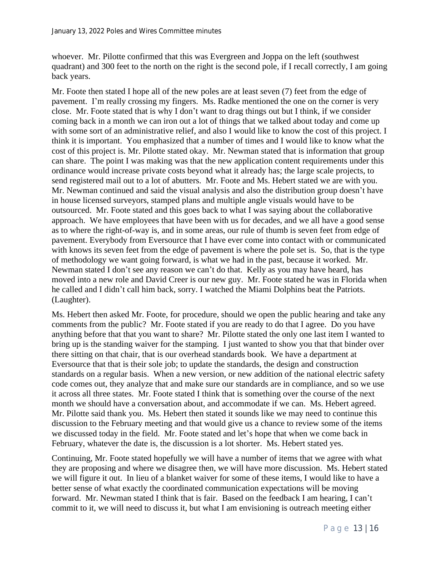whoever. Mr. Pilotte confirmed that this was Evergreen and Joppa on the left (southwest quadrant) and 300 feet to the north on the right is the second pole, if I recall correctly, I am going back years.

Mr. Foote then stated I hope all of the new poles are at least seven (7) feet from the edge of pavement. I'm really crossing my fingers. Ms. Radke mentioned the one on the corner is very close. Mr. Foote stated that is why I don't want to drag things out but I think, if we consider coming back in a month we can iron out a lot of things that we talked about today and come up with some sort of an administrative relief, and also I would like to know the cost of this project. I think it is important. You emphasized that a number of times and I would like to know what the cost of this project is. Mr. Pilotte stated okay. Mr. Newman stated that is information that group can share. The point I was making was that the new application content requirements under this ordinance would increase private costs beyond what it already has; the large scale projects, to send registered mail out to a lot of abutters. Mr. Foote and Ms. Hebert stated we are with you. Mr. Newman continued and said the visual analysis and also the distribution group doesn't have in house licensed surveyors, stamped plans and multiple angle visuals would have to be outsourced. Mr. Foote stated and this goes back to what I was saying about the collaborative approach. We have employees that have been with us for decades, and we all have a good sense as to where the right-of-way is, and in some areas, our rule of thumb is seven feet from edge of pavement. Everybody from Eversource that I have ever come into contact with or communicated with knows its seven feet from the edge of pavement is where the pole set is. So, that is the type of methodology we want going forward, is what we had in the past, because it worked. Mr. Newman stated I don't see any reason we can't do that. Kelly as you may have heard, has moved into a new role and David Creer is our new guy. Mr. Foote stated he was in Florida when he called and I didn't call him back, sorry. I watched the Miami Dolphins beat the Patriots. (Laughter).

Ms. Hebert then asked Mr. Foote, for procedure, should we open the public hearing and take any comments from the public? Mr. Foote stated if you are ready to do that I agree. Do you have anything before that that you want to share? Mr. Pilotte stated the only one last item I wanted to bring up is the standing waiver for the stamping. I just wanted to show you that that binder over there sitting on that chair, that is our overhead standards book. We have a department at Eversource that that is their sole job; to update the standards, the design and construction standards on a regular basis. When a new version, or new addition of the national electric safety code comes out, they analyze that and make sure our standards are in compliance, and so we use it across all three states. Mr. Foote stated I think that is something over the course of the next month we should have a conversation about, and accommodate if we can. Ms. Hebert agreed. Mr. Pilotte said thank you. Ms. Hebert then stated it sounds like we may need to continue this discussion to the February meeting and that would give us a chance to review some of the items we discussed today in the field. Mr. Foote stated and let's hope that when we come back in February, whatever the date is, the discussion is a lot shorter. Ms. Hebert stated yes.

Continuing, Mr. Foote stated hopefully we will have a number of items that we agree with what they are proposing and where we disagree then, we will have more discussion. Ms. Hebert stated we will figure it out. In lieu of a blanket waiver for some of these items, I would like to have a better sense of what exactly the coordinated communication expectations will be moving forward. Mr. Newman stated I think that is fair. Based on the feedback I am hearing, I can't commit to it, we will need to discuss it, but what I am envisioning is outreach meeting either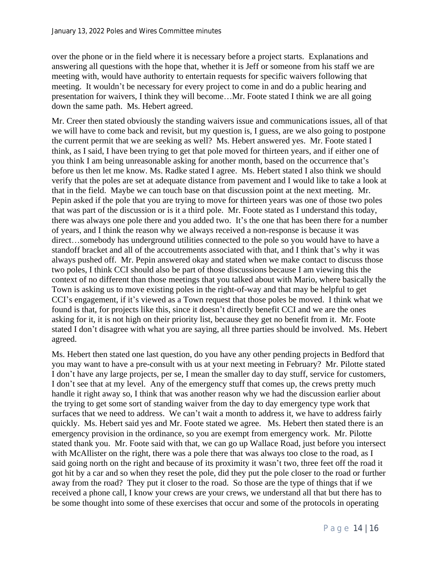over the phone or in the field where it is necessary before a project starts. Explanations and answering all questions with the hope that, whether it is Jeff or someone from his staff we are meeting with, would have authority to entertain requests for specific waivers following that meeting. It wouldn't be necessary for every project to come in and do a public hearing and presentation for waivers, I think they will become…Mr. Foote stated I think we are all going down the same path. Ms. Hebert agreed.

Mr. Creer then stated obviously the standing waivers issue and communications issues, all of that we will have to come back and revisit, but my question is, I guess, are we also going to postpone the current permit that we are seeking as well? Ms. Hebert answered yes. Mr. Foote stated I think, as I said, I have been trying to get that pole moved for thirteen years, and if either one of you think I am being unreasonable asking for another month, based on the occurrence that's before us then let me know. Ms. Radke stated I agree. Ms. Hebert stated I also think we should verify that the poles are set at adequate distance from pavement and I would like to take a look at that in the field. Maybe we can touch base on that discussion point at the next meeting. Mr. Pepin asked if the pole that you are trying to move for thirteen years was one of those two poles that was part of the discussion or is it a third pole. Mr. Foote stated as I understand this today, there was always one pole there and you added two. It's the one that has been there for a number of years, and I think the reason why we always received a non-response is because it was direct…somebody has underground utilities connected to the pole so you would have to have a standoff bracket and all of the accoutrements associated with that, and I think that's why it was always pushed off. Mr. Pepin answered okay and stated when we make contact to discuss those two poles, I think CCI should also be part of those discussions because I am viewing this the context of no different than those meetings that you talked about with Mario, where basically the Town is asking us to move existing poles in the right-of-way and that may be helpful to get CCI's engagement, if it's viewed as a Town request that those poles be moved. I think what we found is that, for projects like this, since it doesn't directly benefit CCI and we are the ones asking for it, it is not high on their priority list, because they get no benefit from it. Mr. Foote stated I don't disagree with what you are saying, all three parties should be involved. Ms. Hebert agreed.

Ms. Hebert then stated one last question, do you have any other pending projects in Bedford that you may want to have a pre-consult with us at your next meeting in February? Mr. Pilotte stated I don't have any large projects, per se, I mean the smaller day to day stuff, service for customers, I don't see that at my level. Any of the emergency stuff that comes up, the crews pretty much handle it right away so, I think that was another reason why we had the discussion earlier about the trying to get some sort of standing waiver from the day to day emergency type work that surfaces that we need to address. We can't wait a month to address it, we have to address fairly quickly. Ms. Hebert said yes and Mr. Foote stated we agree. Ms. Hebert then stated there is an emergency provision in the ordinance, so you are exempt from emergency work. Mr. Pilotte stated thank you. Mr. Foote said with that, we can go up Wallace Road, just before you intersect with McAllister on the right, there was a pole there that was always too close to the road, as I said going north on the right and because of its proximity it wasn't two, three feet off the road it got hit by a car and so when they reset the pole, did they put the pole closer to the road or further away from the road? They put it closer to the road. So those are the type of things that if we received a phone call, I know your crews are your crews, we understand all that but there has to be some thought into some of these exercises that occur and some of the protocols in operating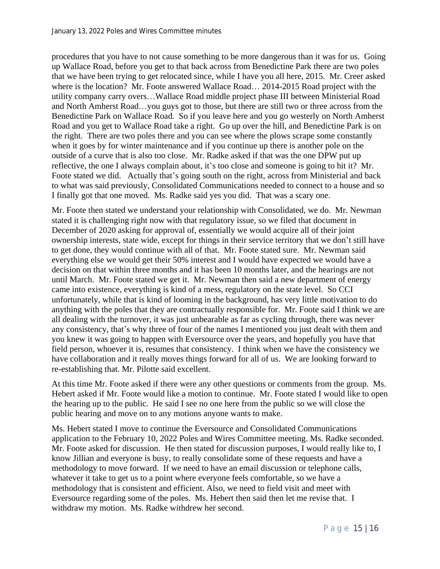procedures that you have to not cause something to be more dangerous than it was for us. Going up Wallace Road, before you get to that back across from Benedictine Park there are two poles that we have been trying to get relocated since, while I have you all here, 2015. Mr. Creer asked where is the location? Mr. Foote answered Wallace Road… 2014-2015 Road project with the utility company carry overs…Wallace Road middle project phase III between Ministerial Road and North Amherst Road…you guys got to those, but there are still two or three across from the Benedictine Park on Wallace Road. So if you leave here and you go westerly on North Amherst Road and you get to Wallace Road take a right. Go up over the hill, and Benedictine Park is on the right. There are two poles there and you can see where the plows scrape some constantly when it goes by for winter maintenance and if you continue up there is another pole on the outside of a curve that is also too close. Mr. Radke asked if that was the one DPW put up reflective, the one I always complain about, it's too close and someone is going to hit it? Mr. Foote stated we did. Actually that's going south on the right, across from Ministerial and back to what was said previously, Consolidated Communications needed to connect to a house and so I finally got that one moved. Ms. Radke said yes you did. That was a scary one.

Mr. Foote then stated we understand your relationship with Consolidated, we do. Mr. Newman stated it is challenging right now with that regulatory issue, so we filed that document in December of 2020 asking for approval of, essentially we would acquire all of their joint ownership interests, state wide, except for things in their service territory that we don't still have to get done, they would continue with all of that. Mr. Foote stated sure. Mr. Newman said everything else we would get their 50% interest and I would have expected we would have a decision on that within three months and it has been 10 months later, and the hearings are not until March. Mr. Foote stated we get it. Mr. Newman then said a new department of energy came into existence, everything is kind of a mess, regulatory on the state level. So CCI unfortunately, while that is kind of looming in the background, has very little motivation to do anything with the poles that they are contractually responsible for. Mr. Foote said I think we are all dealing with the turnover, it was just unbearable as far as cycling through, there was never any consistency, that's why three of four of the names I mentioned you just dealt with them and you knew it was going to happen with Eversource over the years, and hopefully you have that field person, whoever it is, resumes that consistency. I think when we have the consistency we have collaboration and it really moves things forward for all of us. We are looking forward to re-establishing that. Mr. Pilotte said excellent.

At this time Mr. Foote asked if there were any other questions or comments from the group. Ms. Hebert asked if Mr. Foote would like a motion to continue. Mr. Foote stated I would like to open the hearing up to the public. He said I see no one here from the public so we will close the public hearing and move on to any motions anyone wants to make.

Ms. Hebert stated I move to continue the Eversource and Consolidated Communications application to the February 10, 2022 Poles and Wires Committee meeting. Ms. Radke seconded. Mr. Foote asked for discussion. He then stated for discussion purposes, I would really like to, I know Jillian and everyone is busy, to really consolidate some of these requests and have a methodology to move forward. If we need to have an email discussion or telephone calls, whatever it take to get us to a point where everyone feels comfortable, so we have a methodology that is consistent and efficient. Also, we need to field visit and meet with Eversource regarding some of the poles. Ms. Hebert then said then let me revise that. I withdraw my motion. Ms. Radke withdrew her second.